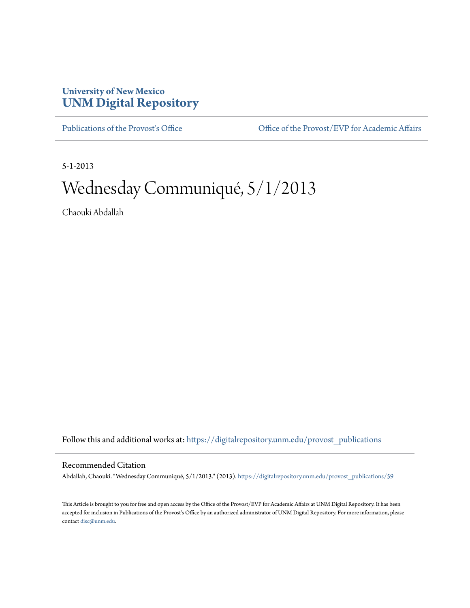## **University of New Mexico [UNM Digital Repository](https://digitalrepository.unm.edu?utm_source=digitalrepository.unm.edu%2Fprovost_publications%2F59&utm_medium=PDF&utm_campaign=PDFCoverPages)**

[Publications of the Provost's Office](https://digitalrepository.unm.edu/provost_publications?utm_source=digitalrepository.unm.edu%2Fprovost_publications%2F59&utm_medium=PDF&utm_campaign=PDFCoverPages) Office [Office of the Provost/EVP for Academic Affairs](https://digitalrepository.unm.edu/ofc_provost?utm_source=digitalrepository.unm.edu%2Fprovost_publications%2F59&utm_medium=PDF&utm_campaign=PDFCoverPages)

5-1-2013

# Wednesday Communiqué, 5/1/2013

Chaouki Abdallah

Follow this and additional works at: [https://digitalrepository.unm.edu/provost\\_publications](https://digitalrepository.unm.edu/provost_publications?utm_source=digitalrepository.unm.edu%2Fprovost_publications%2F59&utm_medium=PDF&utm_campaign=PDFCoverPages)

#### Recommended Citation

Abdallah, Chaouki. "Wednesday Communiqué, 5/1/2013." (2013). [https://digitalrepository.unm.edu/provost\\_publications/59](https://digitalrepository.unm.edu/provost_publications/59?utm_source=digitalrepository.unm.edu%2Fprovost_publications%2F59&utm_medium=PDF&utm_campaign=PDFCoverPages)

This Article is brought to you for free and open access by the Office of the Provost/EVP for Academic Affairs at UNM Digital Repository. It has been accepted for inclusion in Publications of the Provost's Office by an authorized administrator of UNM Digital Repository. For more information, please contact [disc@unm.edu.](mailto:disc@unm.edu)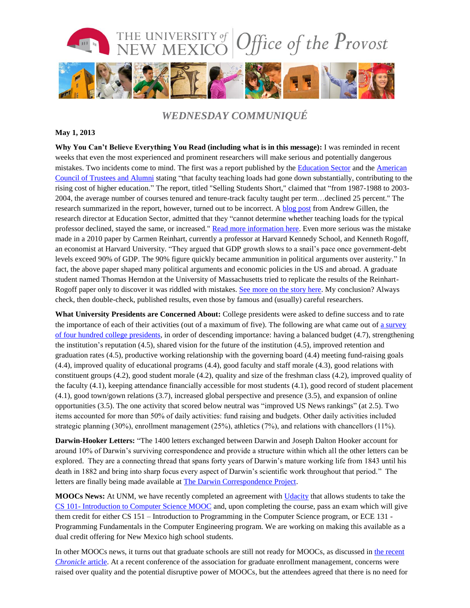

### *WEDNESDAY COMMUNIQUÉ*

#### **May 1, 2013**

**Why You Can't Believe Everything You Read (including what is in this message):** I was reminded in recent weeks that even the most experienced and prominent researchers will make serious and potentially dangerous mistakes. Two incidents come to mind. The first was a report published by the [Education Sector](http://www.educationsector.org/) and the [American](http://www.goacta.org/)  [Council of Trustees and Alumni](http://www.goacta.org/) stating "that faculty teaching loads had gone down substantially, contributing to the rising cost of higher education." The report, titled "Selling Students Short," claimed that "from 1987-1988 to 2003- 2004, the average number of courses tenured and tenure-track faculty taught per term…declined 25 percent." The research summarized in the report, however, turned out to be incorrect. A [blog post](http://www.quickanded.com/2013/04/retraction-of-selling-students-short.html) from Andrew Gillen, the research director at Education Sector, admitted that they "cannot determine whether teaching loads for the typical professor declined, stayed the same, or increased." [Read more information here.](http://www.insidehighered.com/quicktakes/2013/04/18/groups-retract-paper-criticized-faculty-workloads#ixzz2Rn3ooYRm) Even more serious was the mistake made in a 2010 paper by Carmen Reinhart, currently a professor at Harvard Kennedy School, and Kenneth Rogoff, an economist at Harvard University. "They argued that GDP growth slows to a snail's pace once government-debt levels exceed 90% of GDP. The 90% figure quickly became ammunition in political arguments over austerity." In fact, the above paper shaped many political arguments and economic policies in the US and abroad. A graduate student named Thomas Herndon at the University of Massachusetts tried to replicate the results of the Reinhart-Rogoff paper only to discover it was riddled with mistakes. See [more on the story here.](http://www.economist.com/news/finance-and-economics/21576362-seminal-analysis-relationship-between-debt-and-growth-comes-under) My conclusion? Always check, then double-check, published results, even those by famous and (usually) careful researchers.

**What University Presidents are Concerned About:** College presidents were asked to define success and to rate the importance of each of their activities (out of a maximum of five). The following are what came out of [a survey](http://images.results.chronicle.com/Web/TheChronicleofHigherEducation/%7B6e0efc69-0828-4b97-b51f-5d9915a72aca%7D_CHECOR1081_Pres_Report_%28Pearson%29.pdf)  of four hundred [college presidents,](http://images.results.chronicle.com/Web/TheChronicleofHigherEducation/%7B6e0efc69-0828-4b97-b51f-5d9915a72aca%7D_CHECOR1081_Pres_Report_%28Pearson%29.pdf) in order of descending importance: having a balanced budget (4.7), strengthening the institution's reputation (4.5), shared vision for the future of the institution (4.5), improved retention and graduation rates (4.5), productive working relationship with the governing board (4.4) meeting fund-raising goals (4.4), improved quality of educational programs (4.4), good faculty and staff morale (4.3), good relations with constituent groups (4.2), good student morale (4.2), quality and size of the freshman class (4.2), improved quality of the faculty (4.1), keeping attendance financially accessible for most students (4.1), good record of student placement (4.1), good town/gown relations (3.7), increased global perspective and presence (3.5), and expansion of online opportunities (3.5). The one activity that scored below neutral was "improved US News rankings" (at 2.5). Two items accounted for more than 50% of daily activities: fund raising and budgets. Other daily activities included strategic planning (30%), enrollment management (25%), athletics (7%), and relations with chancellors (11%).

**Darwin-Hooker Letters:** "The 1400 letters exchanged between Darwin and Joseph Dalton Hooker account for around 10% of Darwin's surviving correspondence and provide a structure within which all the other letters can be explored. They are a connecting thread that spans forty years of Darwin's mature working life from 1843 until his death in 1882 and bring into sharp focus every aspect of Darwin's scientific work throughout that period." The letters are finally being made available at [The Darwin Correspondence Project.](http://www.darwinproject.ac.uk/darwin-hooker-letters)

**MOOCs News:** At UNM, we have recently completed an agreement with [Udacity](https://www.udacity.com/) that allows students to take the CS 101- [Introduction to Computer Science MOOC](https://www.udacity.com/course/cs101) and, upon completing the course, pass an exam which will give them credit for either CS 151 – Introduction to Programming in the Computer Science program, or ECE 131 - Programming Fundamentals in the Computer Engineering program. We are working on making this available as a dual credit offering for New Mexico high school students.

In other MOOCs news, it turns out that graduate schools are still not ready for MOOCs, as discussed in [the recent](http://chronicle.com/article/Are-Graduate-Schools-Ready-for/138881/)  *[Chronicle](http://chronicle.com/article/Are-Graduate-Schools-Ready-for/138881/)* article. At a recent conference of the association for graduate enrollment management, concerns were raised over quality and the potential disruptive power of MOOCs, but the attendees agreed that there is no need for